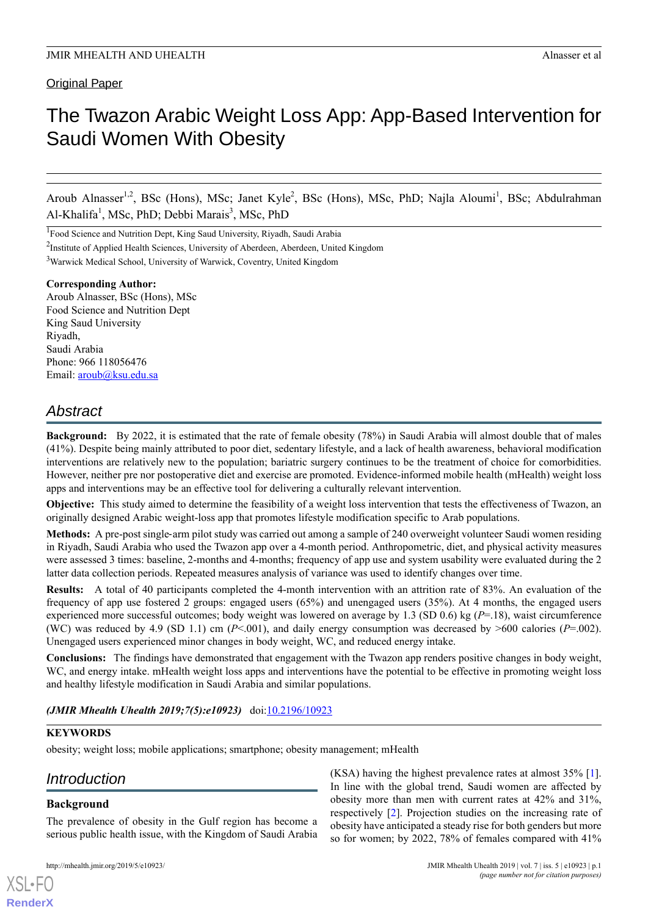# The Twazon Arabic Weight Loss App: App-Based Intervention for Saudi Women With Obesity

Aroub Alnasser<sup>1,2</sup>, BSc (Hons), MSc; Janet Kyle<sup>2</sup>, BSc (Hons), MSc, PhD; Najla Aloumi<sup>1</sup>, BSc; Abdulrahman Al-Khalifa<sup>1</sup>, MSc, PhD; Debbi Marais<sup>3</sup>, MSc, PhD

<sup>1</sup>Food Science and Nutrition Dept, King Saud University, Riyadh, Saudi Arabia

<sup>2</sup>Institute of Applied Health Sciences, University of Aberdeen, Aberdeen, United Kingdom

<sup>3</sup>Warwick Medical School, University of Warwick, Coventry, United Kingdom

#### **Corresponding Author:**

Aroub Alnasser, BSc (Hons), MSc Food Science and Nutrition Dept King Saud University Riyadh, Saudi Arabia Phone: 966 118056476 Email: [aroub@ksu.edu.sa](mailto:aroub@ksu.edu.sa)

# *Abstract*

**Background:** By 2022, it is estimated that the rate of female obesity (78%) in Saudi Arabia will almost double that of males (41%). Despite being mainly attributed to poor diet, sedentary lifestyle, and a lack of health awareness, behavioral modification interventions are relatively new to the population; bariatric surgery continues to be the treatment of choice for comorbidities. However, neither pre nor postoperative diet and exercise are promoted. Evidence-informed mobile health (mHealth) weight loss apps and interventions may be an effective tool for delivering a culturally relevant intervention.

**Objective:** This study aimed to determine the feasibility of a weight loss intervention that tests the effectiveness of Twazon, an originally designed Arabic weight-loss app that promotes lifestyle modification specific to Arab populations.

**Methods:** A pre-post single‐arm pilot study was carried out among a sample of 240 overweight volunteer Saudi women residing in Riyadh, Saudi Arabia who used the Twazon app over a 4-month period. Anthropometric, diet, and physical activity measures were assessed 3 times: baseline, 2-months and 4-months; frequency of app use and system usability were evaluated during the 2 latter data collection periods. Repeated measures analysis of variance was used to identify changes over time.

**Results:** A total of 40 participants completed the 4-month intervention with an attrition rate of 83%. An evaluation of the frequency of app use fostered 2 groups: engaged users (65%) and unengaged users (35%). At 4 months, the engaged users experienced more successful outcomes; body weight was lowered on average by 1.3 (SD 0.6) kg (*P*=.18), waist circumference (WC) was reduced by 4.9 (SD 1.1) cm ( $P<.001$ ), and daily energy consumption was decreased by  $>600$  calories ( $P=.002$ ). Unengaged users experienced minor changes in body weight, WC, and reduced energy intake.

**Conclusions:** The findings have demonstrated that engagement with the Twazon app renders positive changes in body weight, WC, and energy intake. mHealth weight loss apps and interventions have the potential to be effective in promoting weight loss and healthy lifestyle modification in Saudi Arabia and similar populations.

*(JMIR Mhealth Uhealth 2019;7(5):e10923)* doi[:10.2196/10923](http://dx.doi.org/10.2196/10923)

#### **KEYWORDS**

obesity; weight loss; mobile applications; smartphone; obesity management; mHealth

# *Introduction*

# **Background**

[XSL](http://www.w3.org/Style/XSL)•FO **[RenderX](http://www.renderx.com/)**

The prevalence of obesity in the Gulf region has become a serious public health issue, with the Kingdom of Saudi Arabia

(KSA) having the highest prevalence rates at almost 35% [[1\]](#page-8-0). In line with the global trend, Saudi women are affected by obesity more than men with current rates at 42% and 31%, respectively [\[2](#page-8-1)]. Projection studies on the increasing rate of obesity have anticipated a steady rise for both genders but more so for women; by 2022, 78% of females compared with 41%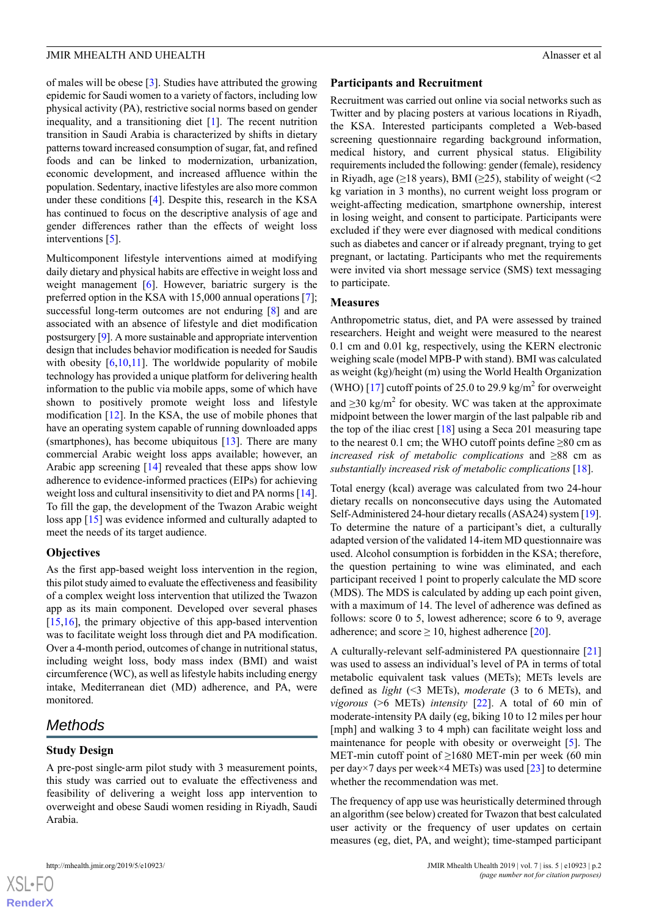of males will be obese [[3\]](#page-8-2). Studies have attributed the growing epidemic for Saudi women to a variety of factors, including low physical activity (PA), restrictive social norms based on gender inequality, and a transitioning diet [[1](#page-8-0)]. The recent nutrition transition in Saudi Arabia is characterized by shifts in dietary patterns toward increased consumption of sugar, fat, and refined foods and can be linked to modernization, urbanization, economic development, and increased affluence within the population. Sedentary, inactive lifestyles are also more common under these conditions [\[4\]](#page-8-3). Despite this, research in the KSA has continued to focus on the descriptive analysis of age and gender differences rather than the effects of weight loss interventions [\[5\]](#page-8-4).

Multicomponent lifestyle interventions aimed at modifying daily dietary and physical habits are effective in weight loss and weight management [\[6](#page-8-5)]. However, bariatric surgery is the preferred option in the KSA with 15,000 annual operations [\[7\]](#page-8-6); successful long-term outcomes are not enduring [[8\]](#page-8-7) and are associated with an absence of lifestyle and diet modification postsurgery [\[9](#page-8-8)]. A more sustainable and appropriate intervention design that includes behavior modification is needed for Saudis with obesity  $[6,10,11]$  $[6,10,11]$  $[6,10,11]$  $[6,10,11]$  $[6,10,11]$  $[6,10,11]$ . The worldwide popularity of mobile technology has provided a unique platform for delivering health information to the public via mobile apps, some of which have shown to positively promote weight loss and lifestyle modification [[12\]](#page-8-11). In the KSA, the use of mobile phones that have an operating system capable of running downloaded apps (smartphones), has become ubiquitous [[13\]](#page-8-12). There are many commercial Arabic weight loss apps available; however, an Arabic app screening [\[14](#page-8-13)] revealed that these apps show low adherence to evidence-informed practices (EIPs) for achieving weight loss and cultural insensitivity to diet and PA norms [[14\]](#page-8-13). To fill the gap, the development of the Twazon Arabic weight loss app [\[15](#page-8-14)] was evidence informed and culturally adapted to meet the needs of its target audience.

#### **Objectives**

As the first app-based weight loss intervention in the region, this pilot study aimed to evaluate the effectiveness and feasibility of a complex weight loss intervention that utilized the Twazon app as its main component. Developed over several phases [[15](#page-8-14)[,16](#page-8-15)], the primary objective of this app-based intervention was to facilitate weight loss through diet and PA modification. Over a 4-month period, outcomes of change in nutritional status, including weight loss, body mass index (BMI) and waist circumference (WC), as well as lifestyle habits including energy intake, Mediterranean diet (MD) adherence, and PA, were monitored.

# *Methods*

# **Study Design**

A pre-post single‐arm pilot study with 3 measurement points, this study was carried out to evaluate the effectiveness and feasibility of delivering a weight loss app intervention to overweight and obese Saudi women residing in Riyadh, Saudi Arabia.

#### **Participants and Recruitment**

Recruitment was carried out online via social networks such as Twitter and by placing posters at various locations in Riyadh, the KSA. Interested participants completed a Web-based screening questionnaire regarding background information, medical history, and current physical status. Eligibility requirements included the following: gender (female), residency in Riyadh, age ( $\geq$ 18 years), BMI ( $\geq$ 25), stability of weight (<2 kg variation in 3 months), no current weight loss program or weight-affecting medication, smartphone ownership, interest in losing weight, and consent to participate. Participants were excluded if they were ever diagnosed with medical conditions such as diabetes and cancer or if already pregnant, trying to get pregnant, or lactating. Participants who met the requirements were invited via short message service (SMS) text messaging to participate.

# **Measures**

Anthropometric status, diet, and PA were assessed by trained researchers. Height and weight were measured to the nearest 0.1 cm and 0.01 kg, respectively, using the KERN electronic weighing scale (model MPB-P with stand). BMI was calculated as weight (kg)/height (m) using the World Health Organization (WHO) [[17\]](#page-8-16) cutoff points of 25.0 to 29.9 kg/m<sup>2</sup> for overweight and  $\geq$ 30 kg/m<sup>2</sup> for obesity. WC was taken at the approximate midpoint between the lower margin of the last palpable rib and the top of the iliac crest  $[18]$  $[18]$  using a Seca 201 measuring tape to the nearest 0.1 cm; the WHO cutoff points define  $\geq 80$  cm as *increased risk of metabolic complications* and ≥88 cm as *substantially increased risk of metabolic complications* [[18\]](#page-8-17).

Total energy (kcal) average was calculated from two 24-hour dietary recalls on nonconsecutive days using the Automated Self-Administered 24-hour dietary recalls (ASA24) system [\[19](#page-8-18)]. To determine the nature of a participant's diet, a culturally adapted version of the validated 14-item MD questionnaire was used. Alcohol consumption is forbidden in the KSA; therefore, the question pertaining to wine was eliminated, and each participant received 1 point to properly calculate the MD score (MDS). The MDS is calculated by adding up each point given, with a maximum of 14. The level of adherence was defined as follows: score 0 to 5, lowest adherence; score 6 to 9, average adherence; and score  $\geq 10$ , highest adherence [\[20](#page-8-19)].

A culturally-relevant self-administered PA questionnaire [\[21](#page-9-0)] was used to assess an individual's level of PA in terms of total metabolic equivalent task values (METs); METs levels are defined as *light* (<3 METs), *moderate* (3 to 6 METs), and *vigorous* (>6 METs) *intensity* [\[22](#page-9-1)]. A total of 60 min of moderate-intensity PA daily (eg, biking 10 to 12 miles per hour [mph] and walking 3 to 4 mph) can facilitate weight loss and maintenance for people with obesity or overweight [\[5\]](#page-8-4). The MET-min cutoff point of  $\geq 1680$  MET-min per week (60 min per day×7 days per week×4 METs) was used [\[23](#page-9-2)] to determine whether the recommendation was met.

The frequency of app use was heuristically determined through an algorithm (see below) created for Twazon that best calculated user activity or the frequency of user updates on certain measures (eg, diet, PA, and weight); time-stamped participant

```
XS • FC
```
**[RenderX](http://www.renderx.com/)**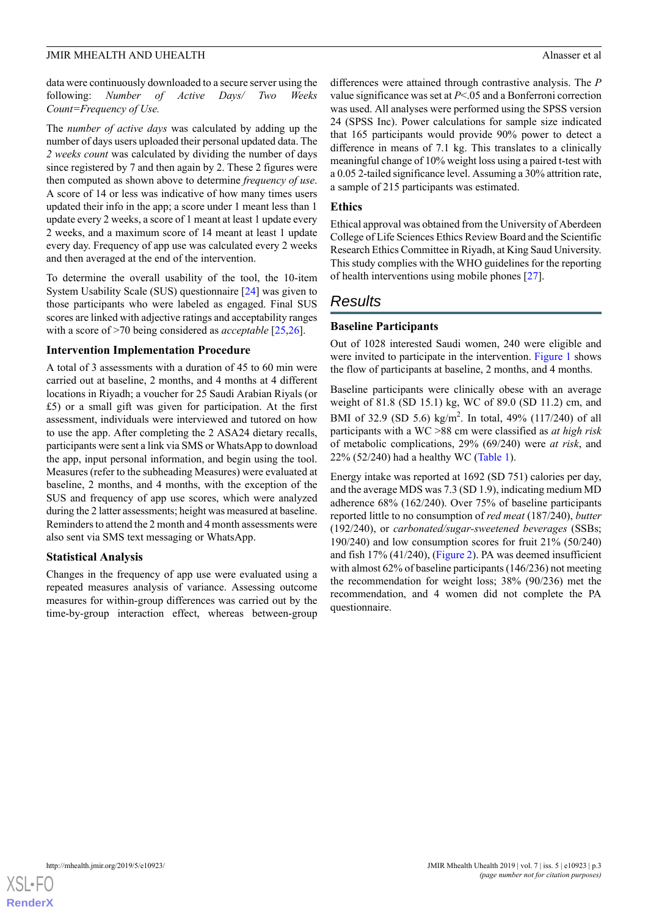data were continuously downloaded to a secure server using the following: *Number of Active Days/ Two Weeks Count=Frequency of Use.*

The *number of active days* was calculated by adding up the number of days users uploaded their personal updated data. The *2 weeks count* was calculated by dividing the number of days since registered by 7 and then again by 2. These 2 figures were then computed as shown above to determine *frequency of use*. A score of 14 or less was indicative of how many times users updated their info in the app; a score under 1 meant less than 1 update every 2 weeks, a score of 1 meant at least 1 update every 2 weeks, and a maximum score of 14 meant at least 1 update every day. Frequency of app use was calculated every 2 weeks and then averaged at the end of the intervention.

To determine the overall usability of the tool, the 10-item System Usability Scale (SUS) questionnaire [\[24](#page-9-3)] was given to those participants who were labeled as engaged. Final SUS scores are linked with adjective ratings and acceptability ranges with a score of >70 being considered as *acceptable* [[25,](#page-9-4)[26](#page-9-5)].

### **Intervention Implementation Procedure**

A total of 3 assessments with a duration of 45 to 60 min were carried out at baseline, 2 months, and 4 months at 4 different locations in Riyadh; a voucher for 25 Saudi Arabian Riyals (or £5) or a small gift was given for participation. At the first assessment, individuals were interviewed and tutored on how to use the app. After completing the 2 ASA24 dietary recalls, participants were sent a link via SMS or WhatsApp to download the app, input personal information, and begin using the tool. Measures (refer to the subheading Measures) were evaluated at baseline, 2 months, and 4 months, with the exception of the SUS and frequency of app use scores, which were analyzed during the 2 latter assessments; height was measured at baseline. Reminders to attend the 2 month and 4 month assessments were also sent via SMS text messaging or WhatsApp.

# **Statistical Analysis**

Changes in the frequency of app use were evaluated using a repeated measures analysis of variance. Assessing outcome measures for within-group differences was carried out by the time-by-group interaction effect, whereas between-group

differences were attained through contrastive analysis. The *P* value significance was set at *P*<.05 and a Bonferroni correction was used. All analyses were performed using the SPSS version 24 (SPSS Inc). Power calculations for sample size indicated that 165 participants would provide 90% power to detect a difference in means of 7.1 kg. This translates to a clinically meaningful change of 10% weight loss using a paired t-test with a 0.05 2-tailed significance level. Assuming a 30% attrition rate, a sample of 215 participants was estimated.

## **Ethics**

Ethical approval was obtained from the University of Aberdeen College of Life Sciences Ethics Review Board and the Scientific Research Ethics Committee in Riyadh, at King Saud University. This study complies with the WHO guidelines for the reporting of health interventions using mobile phones [[27\]](#page-9-6).

# *Results*

# **Baseline Participants**

Out of 1028 interested Saudi women, 240 were eligible and were invited to participate in the intervention. [Figure 1](#page-3-0) shows the flow of participants at baseline, 2 months, and 4 months.

Baseline participants were clinically obese with an average weight of 81.8 (SD 15.1) kg, WC of 89.0 (SD 11.2) cm, and BMI of 32.9 (SD 5.6) kg/m<sup>2</sup>. In total, 49% (117/240) of all participants with a WC >88 cm were classified as *at high risk* of metabolic complications, 29% (69/240) were *at risk*, and 22% (52/240) had a healthy WC [\(Table 1\)](#page-4-0).

Energy intake was reported at 1692 (SD 751) calories per day, and the average MDS was 7.3 (SD 1.9), indicating medium MD adherence 68% (162/240). Over 75% of baseline participants reported little to no consumption of *red meat* (187/240), *butter* (192/240), or *carbonated/sugar-sweetened beverages* (SSBs; 190/240) and low consumption scores for fruit 21% (50/240) and fish 17% (41/240), ([Figure 2](#page-4-1)). PA was deemed insufficient with almost 62% of baseline participants (146/236) not meeting the recommendation for weight loss; 38% (90/236) met the recommendation, and 4 women did not complete the PA questionnaire.

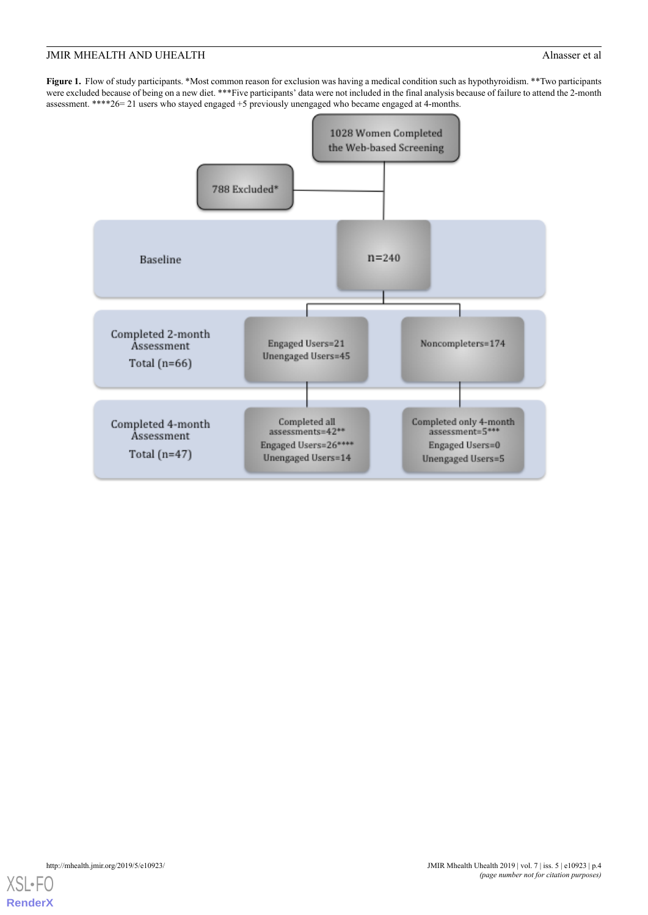<span id="page-3-0"></span>**Figure 1.** Flow of study participants. \*Most common reason for exclusion was having a medical condition such as hypothyroidism. \*\*Two participants were excluded because of being on a new diet. \*\*\*Five participants' data were not included in the final analysis because of failure to attend the 2-month assessment. \*\*\*\*26= 21 users who stayed engaged +5 previously unengaged who became engaged at 4-months.



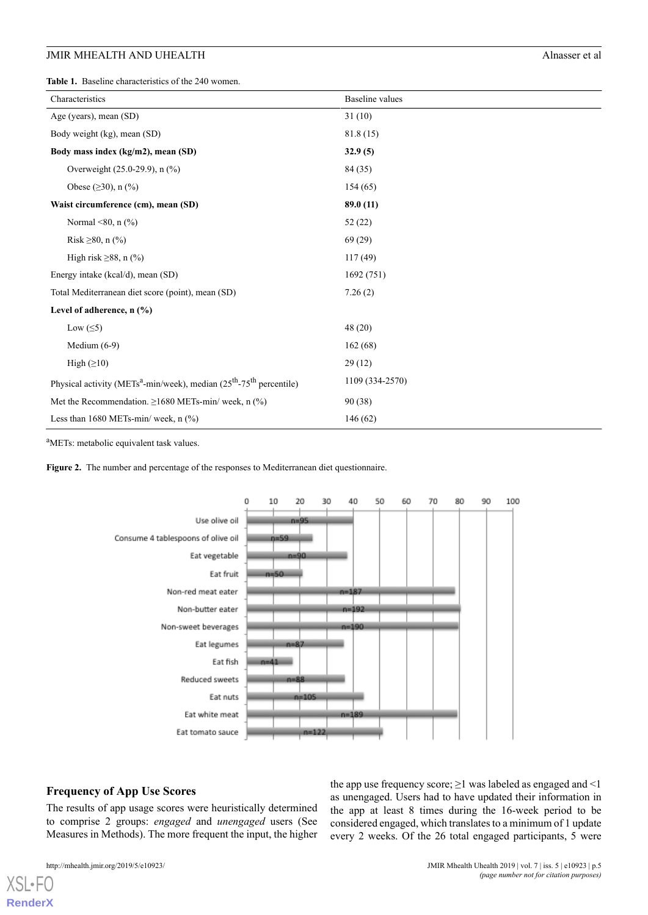<span id="page-4-0"></span>**Table 1.** Baseline characteristics of the 240 women.

| Characteristics                                                                                | <b>Baseline</b> values |
|------------------------------------------------------------------------------------------------|------------------------|
| Age (years), mean (SD)                                                                         | 31(10)                 |
| Body weight (kg), mean (SD)                                                                    | 81.8(15)               |
| Body mass index (kg/m2), mean (SD)                                                             | 32.9(5)                |
| Overweight (25.0-29.9), n (%)                                                                  | 84 (35)                |
| Obese $(\geq 30)$ , n $(\% )$                                                                  | 154(65)                |
| Waist circumference (cm), mean (SD)                                                            | 89.0(11)               |
| Normal <80, $n$ (%)                                                                            | 52(22)                 |
| Risk ≥80, n $\frac{0}{0}$                                                                      | 69(29)                 |
| High risk $\geq 88$ , n (%)                                                                    | 117(49)                |
| Energy intake (kcal/d), mean (SD)                                                              | 1692(751)              |
| Total Mediterranean diet score (point), mean (SD)                                              | 7.26(2)                |
| Level of adherence, $n$ $\left(\frac{9}{6}\right)$                                             |                        |
| Low $(\leq 5)$                                                                                 | 48(20)                 |
| Medium $(6-9)$                                                                                 | 162(68)                |
| High $(\geq 10)$                                                                               | 29(12)                 |
| Physical activity (METs <sup>a</sup> -min/week), median ( $25th$ -75 <sup>th</sup> percentile) | 1109 (334-2570)        |
| Met the Recommendation. $\geq 1680$ METs-min/ week, n (%)                                      | 90(38)                 |
| Less than 1680 METs-min/ week, $n$ (%)                                                         | 146(62)                |

<span id="page-4-1"></span><sup>a</sup>METs: metabolic equivalent task values.

**Figure 2.** The number and percentage of the responses to Mediterranean diet questionnaire.



#### **Frequency of App Use Scores**

The results of app usage scores were heuristically determined to comprise 2 groups: *engaged* and *unengaged* users (See Measures in Methods). The more frequent the input, the higher

 $XS$ l • FC **[RenderX](http://www.renderx.com/)** the app use frequency score;  $\geq$ 1 was labeled as engaged and <1 as unengaged. Users had to have updated their information in the app at least 8 times during the 16-week period to be considered engaged, which translates to a minimum of 1 update every 2 weeks. Of the 26 total engaged participants, 5 were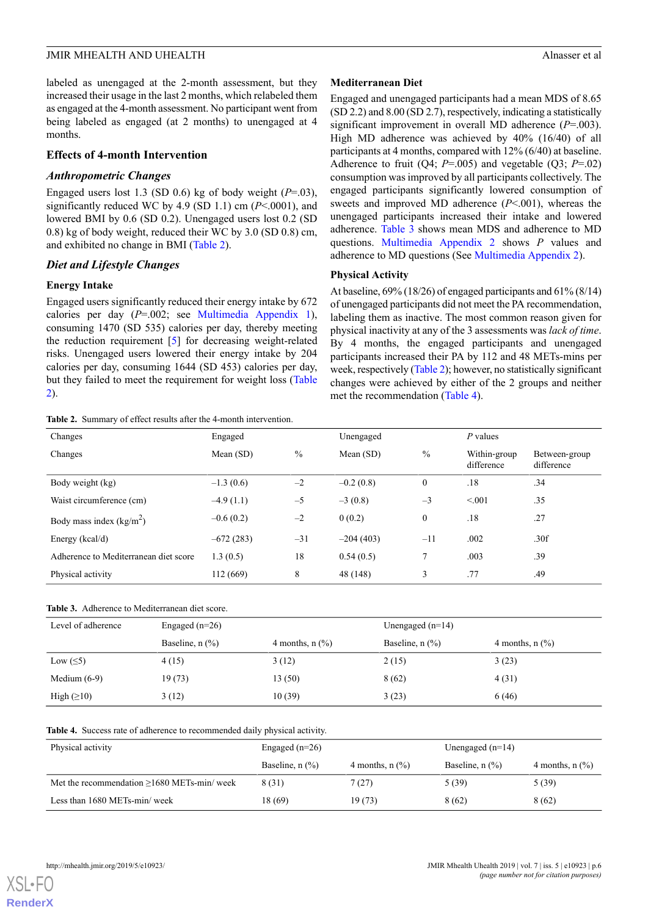labeled as unengaged at the 2-month assessment, but they increased their usage in the last 2 months, which relabeled them as engaged at the 4-month assessment. No participant went from being labeled as engaged (at 2 months) to unengaged at 4 months.

#### **Effects of 4-month Intervention**

#### *Anthropometric Changes*

Engaged users lost 1.3 (SD 0.6) kg of body weight  $(P=0.03)$ , significantly reduced WC by 4.9 (SD 1.1) cm (*P*<.0001), and lowered BMI by 0.6 (SD 0.2). Unengaged users lost 0.2 (SD 0.8) kg of body weight, reduced their WC by 3.0 (SD 0.8) cm, and exhibited no change in BMI [\(Table 2\)](#page-5-0).

#### *Diet and Lifestyle Changes*

#### **Energy Intake**

Engaged users significantly reduced their energy intake by 672 calories per day (*P*=.002; see [Multimedia Appendix 1\)](#page-7-0), consuming 1470 (SD 535) calories per day, thereby meeting the reduction requirement [[5\]](#page-8-4) for decreasing weight-related risks. Unengaged users lowered their energy intake by 204 calories per day, consuming 1644 (SD 453) calories per day, but they failed to meet the requirement for weight loss ([Table](#page-5-0) [2\)](#page-5-0).

<span id="page-5-0"></span>**Table 2.** Summary of effect results after the 4-month intervention.

#### **Mediterranean Diet**

Engaged and unengaged participants had a mean MDS of 8.65 (SD 2.2) and 8.00 (SD 2.7), respectively, indicating a statistically significant improvement in overall MD adherence (*P*=.003). High MD adherence was achieved by 40% (16/40) of all participants at 4 months, compared with 12% (6/40) at baseline. Adherence to fruit  $(O4; P=.005)$  and vegetable  $(O3; P=.02)$ consumption was improved by all participants collectively. The engaged participants significantly lowered consumption of sweets and improved MD adherence (*P*<.001), whereas the unengaged participants increased their intake and lowered adherence. [Table 3](#page-5-1) shows mean MDS and adherence to MD questions. [Multimedia Appendix 2](#page-8-20) shows *P* values and adherence to MD questions (See [Multimedia Appendix 2](#page-8-20)).

### **Physical Activity**

At baseline, 69% (18/26) of engaged participants and 61% (8/14) of unengaged participants did not meet the PA recommendation, labeling them as inactive. The most common reason given for physical inactivity at any of the 3 assessments was *lack of time*. By 4 months, the engaged participants and unengaged participants increased their PA by 112 and 48 METs-mins per week, respectively ([Table 2\)](#page-5-0); however, no statistically significant changes were achieved by either of the 2 groups and neither met the recommendation ([Table 4](#page-5-2)).

| Changes                               | Engaged     |               | Unengaged   |                  | $P$ values                 |                             |
|---------------------------------------|-------------|---------------|-------------|------------------|----------------------------|-----------------------------|
| Changes                               | Mean $(SD)$ | $\frac{0}{0}$ | Mean $(SD)$ | $\%$             | Within-group<br>difference | Between-group<br>difference |
| Body weight (kg)                      | $-1.3(0.6)$ | $-2$          | $-0.2(0.8)$ | $\boldsymbol{0}$ | .18                        | .34                         |
| Waist circumference (cm)              | $-4.9(1.1)$ | $-5$          | $-3(0.8)$   | $-3$             | < 0.01                     | .35                         |
| Body mass index $(kg/m2)$             | $-0.6(0.2)$ | $-2$          | 0(0.2)      | $\theta$         | .18                        | .27                         |
| Energy $(kcal/d)$                     | $-672(283)$ | $-31$         | $-204(403)$ | $-11$            | .002                       | .30f                        |
| Adherence to Mediterranean diet score | 1.3(0.5)    | 18            | 0.54(0.5)   | 7                | .003                       | .39                         |
| Physical activity                     | 112 (669)   | 8             | 48 (148)    | 3                | .77                        | .49                         |

#### <span id="page-5-1"></span>**Table 3.** Adherence to Mediterranean diet score.

<span id="page-5-2"></span>

| Level of adherence | Engaged $(n=26)$            |                      | Unengaged $(n=14)$   |                      |  |
|--------------------|-----------------------------|----------------------|----------------------|----------------------|--|
|                    | Baseline, $n$ $\frac{9}{6}$ | 4 months, $n$ $(\%)$ | Baseline, $n$ $(\%)$ | 4 months, $n$ $(\%)$ |  |
| Low $(\leq 5)$     | 4(15)                       | 3(12)                | 2(15)                | 3(23)                |  |
| Medium $(6-9)$     | 19(73)                      | 13(50)               | 8(62)                | 4(31)                |  |
| High $(\geq 10)$   | 3(12)                       | 10(39)               | 3(23)                | 6(46)                |  |

#### **Table 4.** Success rate of adherence to recommended daily physical activity.

| Physical activity                                | Engaged $(n=26)$            |                      | Unengaged $(n=14)$          |                             |
|--------------------------------------------------|-----------------------------|----------------------|-----------------------------|-----------------------------|
|                                                  | Baseline, $n$ $\frac{9}{6}$ | 4 months, $n$ $(\%)$ | Baseline, $n$ $\frac{9}{6}$ | 4 months, $n$ $\frac{9}{6}$ |
| Met the recommendation $\geq$ 1680 METs-min/week | 8 (31)                      | 7(27)                | 5 (39)                      | 5(39)                       |
| Less than 1680 METs-min/week                     | 18 (69)                     | 19 (73)              | 8 (62)                      | 8(62)                       |

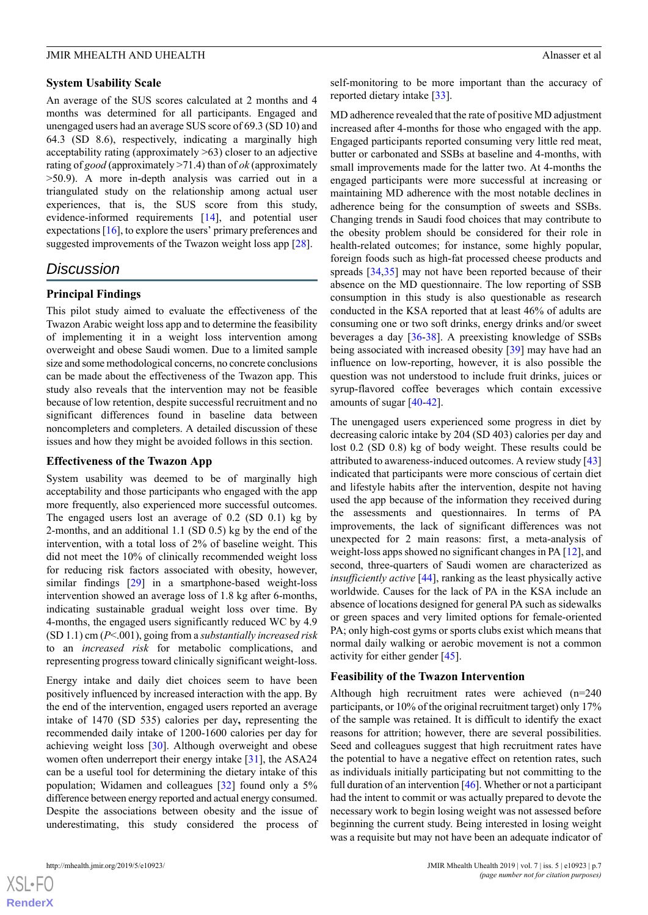## **System Usability Scale**

An average of the SUS scores calculated at 2 months and 4 months was determined for all participants. Engaged and unengaged users had an average SUS score of 69.3 (SD 10) and 64.3 (SD 8.6), respectively, indicating a marginally high acceptability rating (approximately >63) closer to an adjective rating of *good* (approximately >71.4) than of *ok* (approximately >50.9). A more in-depth analysis was carried out in a triangulated study on the relationship among actual user experiences, that is, the SUS score from this study, evidence-informed requirements [[14\]](#page-8-13), and potential user expectations [\[16](#page-8-15)], to explore the users' primary preferences and suggested improvements of the Twazon weight loss app [[28\]](#page-9-7).

# *Discussion*

# **Principal Findings**

This pilot study aimed to evaluate the effectiveness of the Twazon Arabic weight loss app and to determine the feasibility of implementing it in a weight loss intervention among overweight and obese Saudi women. Due to a limited sample size and some methodological concerns, no concrete conclusions can be made about the effectiveness of the Twazon app. This study also reveals that the intervention may not be feasible because of low retention, despite successful recruitment and no significant differences found in baseline data between noncompleters and completers. A detailed discussion of these issues and how they might be avoided follows in this section.

# **Effectiveness of the Twazon App**

System usability was deemed to be of marginally high acceptability and those participants who engaged with the app more frequently, also experienced more successful outcomes. The engaged users lost an average of 0.2 (SD 0.1) kg by 2-months, and an additional 1.1 (SD 0.5) kg by the end of the intervention, with a total loss of 2% of baseline weight. This did not meet the 10% of clinically recommended weight loss for reducing risk factors associated with obesity, however, similar findings [\[29](#page-9-8)] in a smartphone-based weight-loss intervention showed an average loss of 1.8 kg after 6-months, indicating sustainable gradual weight loss over time. By 4-months, the engaged users significantly reduced WC by 4.9 (SD 1.1) cm (*P*<.001), going from a *substantially increased risk* to an *increased risk* for metabolic complications, and representing progress toward clinically significant weight-loss.

Energy intake and daily diet choices seem to have been positively influenced by increased interaction with the app. By the end of the intervention, engaged users reported an average intake of 1470 (SD 535) calories per day**,** representing the recommended daily intake of 1200-1600 calories per day for achieving weight loss [[30\]](#page-9-9). Although overweight and obese women often underreport their energy intake [\[31](#page-9-10)], the ASA24 can be a useful tool for determining the dietary intake of this population; Widamen and colleagues [[32\]](#page-9-11) found only a 5% difference between energy reported and actual energy consumed. Despite the associations between obesity and the issue of underestimating, this study considered the process of

self-monitoring to be more important than the accuracy of reported dietary intake [[33\]](#page-9-12).

MD adherence revealed that the rate of positive MD adjustment increased after 4-months for those who engaged with the app. Engaged participants reported consuming very little red meat, butter or carbonated and SSBs at baseline and 4-months, with small improvements made for the latter two. At 4-months the engaged participants were more successful at increasing or maintaining MD adherence with the most notable declines in adherence being for the consumption of sweets and SSBs. Changing trends in Saudi food choices that may contribute to the obesity problem should be considered for their role in health-related outcomes; for instance, some highly popular, foreign foods such as high-fat processed cheese products and spreads [\[34](#page-9-13),[35\]](#page-9-14) may not have been reported because of their absence on the MD questionnaire. The low reporting of SSB consumption in this study is also questionable as research conducted in the KSA reported that at least 46% of adults are consuming one or two soft drinks, energy drinks and/or sweet beverages a day [[36](#page-9-15)[-38](#page-9-16)]. A preexisting knowledge of SSBs being associated with increased obesity [\[39](#page-9-17)] may have had an influence on low-reporting, however, it is also possible the question was not understood to include fruit drinks, juices or syrup-flavored coffee beverages which contain excessive amounts of sugar [\[40](#page-9-18)-[42\]](#page-9-19).

The unengaged users experienced some progress in diet by decreasing caloric intake by 204 (SD 403) calories per day and lost 0.2 (SD 0.8) kg of body weight. These results could be attributed to awareness-induced outcomes. A review study [\[43](#page-9-20)] indicated that participants were more conscious of certain diet and lifestyle habits after the intervention, despite not having used the app because of the information they received during the assessments and questionnaires. In terms of PA improvements, the lack of significant differences was not unexpected for 2 main reasons: first, a meta-analysis of weight-loss apps showed no significant changes in PA [[12\]](#page-8-11), and second, three-quarters of Saudi women are characterized as *insufficiently active* [[44\]](#page-10-0), ranking as the least physically active worldwide. Causes for the lack of PA in the KSA include an absence of locations designed for general PA such as sidewalks or green spaces and very limited options for female-oriented PA; only high-cost gyms or sports clubs exist which means that normal daily walking or aerobic movement is not a common activity for either gender [\[45](#page-10-1)].

#### **Feasibility of the Twazon Intervention**

Although high recruitment rates were achieved (n=240 participants, or 10% of the original recruitment target) only 17% of the sample was retained. It is difficult to identify the exact reasons for attrition; however, there are several possibilities. Seed and colleagues suggest that high recruitment rates have the potential to have a negative effect on retention rates, such as individuals initially participating but not committing to the full duration of an intervention [\[46\]](#page-10-2). Whether or not a participant had the intent to commit or was actually prepared to devote the necessary work to begin losing weight was not assessed before beginning the current study. Being interested in losing weight was a requisite but may not have been an adequate indicator of

 $XS$ -FO **[RenderX](http://www.renderx.com/)**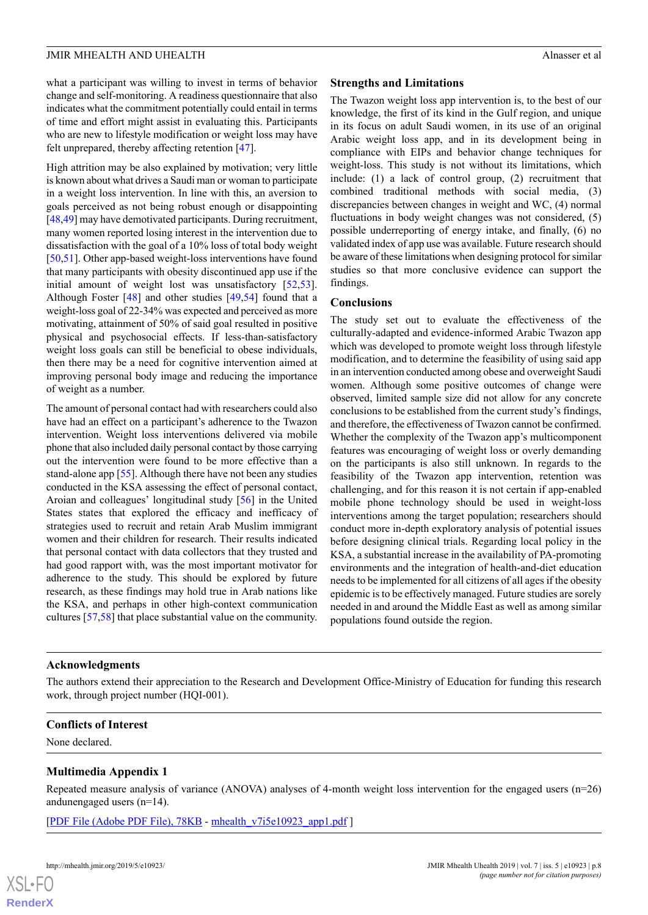what a participant was willing to invest in terms of behavior change and self-monitoring. A readiness questionnaire that also indicates what the commitment potentially could entail in terms of time and effort might assist in evaluating this. Participants who are new to lifestyle modification or weight loss may have felt unprepared, thereby affecting retention [[47\]](#page-10-3).

High attrition may be also explained by motivation; very little is known about what drives a Saudi man or woman to participate in a weight loss intervention. In line with this, an aversion to goals perceived as not being robust enough or disappointing [[48,](#page-10-4)[49](#page-10-5)] may have demotivated participants. During recruitment, many women reported losing interest in the intervention due to dissatisfaction with the goal of a 10% loss of total body weight [[50](#page-10-6)[,51](#page-10-7)]. Other app-based weight-loss interventions have found that many participants with obesity discontinued app use if the initial amount of weight lost was unsatisfactory [\[52](#page-10-8),[53\]](#page-10-9). Although Foster [\[48](#page-10-4)] and other studies [\[49](#page-10-5),[54\]](#page-10-10) found that a weight-loss goal of 22-34% was expected and perceived as more motivating, attainment of 50% of said goal resulted in positive physical and psychosocial effects. If less-than-satisfactory weight loss goals can still be beneficial to obese individuals, then there may be a need for cognitive intervention aimed at improving personal body image and reducing the importance of weight as a number.

The amount of personal contact had with researchers could also have had an effect on a participant's adherence to the Twazon intervention. Weight loss interventions delivered via mobile phone that also included daily personal contact by those carrying out the intervention were found to be more effective than a stand-alone app [[55\]](#page-10-11). Although there have not been any studies conducted in the KSA assessing the effect of personal contact, Aroian and colleagues' longitudinal study [[56\]](#page-10-12) in the United States states that explored the efficacy and inefficacy of strategies used to recruit and retain Arab Muslim immigrant women and their children for research. Their results indicated that personal contact with data collectors that they trusted and had good rapport with, was the most important motivator for adherence to the study. This should be explored by future research, as these findings may hold true in Arab nations like the KSA, and perhaps in other high-context communication cultures [[57](#page-10-13)[,58](#page-10-14)] that place substantial value on the community.

#### **Strengths and Limitations**

The Twazon weight loss app intervention is, to the best of our knowledge, the first of its kind in the Gulf region, and unique in its focus on adult Saudi women, in its use of an original Arabic weight loss app, and in its development being in compliance with EIPs and behavior change techniques for weight-loss. This study is not without its limitations, which include: (1) a lack of control group, (2) recruitment that combined traditional methods with social media, (3) discrepancies between changes in weight and WC, (4) normal fluctuations in body weight changes was not considered, (5) possible underreporting of energy intake, and finally, (6) no validated index of app use was available. Future research should be aware of these limitations when designing protocol for similar studies so that more conclusive evidence can support the findings.

#### **Conclusions**

The study set out to evaluate the effectiveness of the culturally-adapted and evidence-informed Arabic Twazon app which was developed to promote weight loss through lifestyle modification, and to determine the feasibility of using said app in an intervention conducted among obese and overweight Saudi women. Although some positive outcomes of change were observed, limited sample size did not allow for any concrete conclusions to be established from the current study's findings, and therefore, the effectiveness of Twazon cannot be confirmed. Whether the complexity of the Twazon app's multicomponent features was encouraging of weight loss or overly demanding on the participants is also still unknown. In regards to the feasibility of the Twazon app intervention, retention was challenging, and for this reason it is not certain if app-enabled mobile phone technology should be used in weight-loss interventions among the target population; researchers should conduct more in-depth exploratory analysis of potential issues before designing clinical trials. Regarding local policy in the KSA, a substantial increase in the availability of PA-promoting environments and the integration of health-and-diet education needs to be implemented for all citizens of all ages if the obesity epidemic is to be effectively managed. Future studies are sorely needed in and around the Middle East as well as among similar populations found outside the region.

#### **Acknowledgments**

<span id="page-7-0"></span>The authors extend their appreciation to the Research and Development Office-Ministry of Education for funding this research work, through project number (HQI-001).

#### **Conflicts of Interest**

None declared.

#### **Multimedia Appendix 1**

Repeated measure analysis of variance (ANOVA) analyses of 4-month weight loss intervention for the engaged users (n=26) andunengaged users (n=14).

[[PDF File \(Adobe PDF File\), 78KB](https://mhealth.jmir.org/article/downloadSuppFile/10923/105299) - [mhealth\\_v7i5e10923\\_app1.pdf](https://mhealth.jmir.org/article/downloadSuppFile/10923/105299) ]

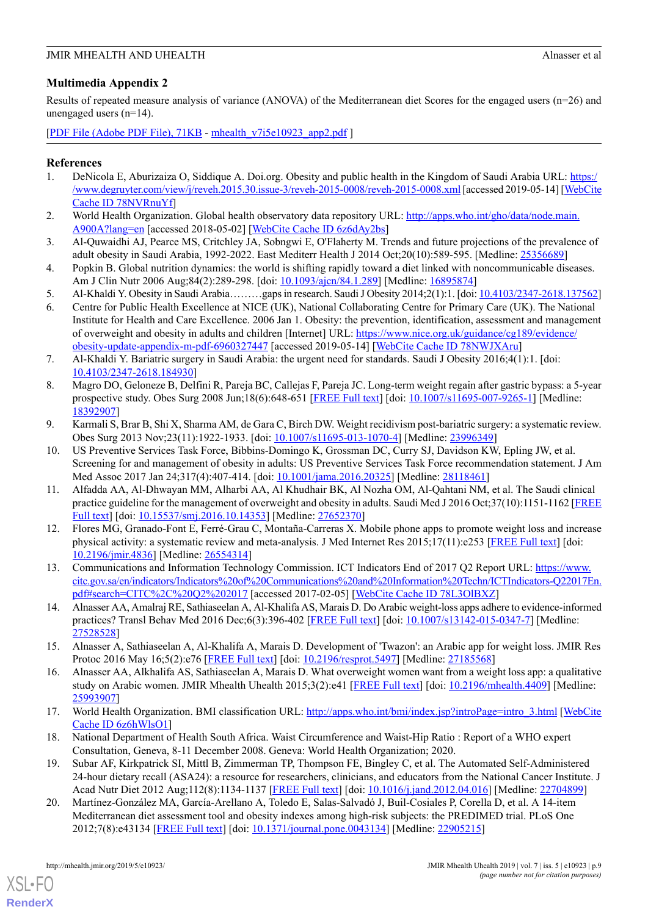# <span id="page-8-20"></span>**Multimedia Appendix 2**

Results of repeated measure analysis of variance (ANOVA) of the Mediterranean diet Scores for the engaged users (n=26) and unengaged users (n=14).

[[PDF File \(Adobe PDF File\), 71KB](https://mhealth.jmir.org/article/downloadSuppFile/10923/105300) - [mhealth\\_v7i5e10923\\_app2.pdf](https://mhealth.jmir.org/article/downloadSuppFile/10923/105300) ]

# <span id="page-8-0"></span>**References**

- <span id="page-8-1"></span>1. DeNicola E, Aburizaiza O, Siddique A. Doi.org. Obesity and public health in the Kingdom of Saudi Arabia URL: [https:/](https://www.degruyter.com/view/j/reveh.2015.30.issue-3/reveh-2015-0008/reveh-2015-0008.xml) [/www.degruyter.com/view/j/reveh.2015.30.issue-3/reveh-2015-0008/reveh-2015-0008.xml](https://www.degruyter.com/view/j/reveh.2015.30.issue-3/reveh-2015-0008/reveh-2015-0008.xml) [accessed 2019-05-14] [[WebCite](http://www.webcitation.org/78NVRnuYf) [Cache ID 78NVRnuYf\]](http://www.webcitation.org/78NVRnuYf)
- <span id="page-8-2"></span>2. World Health Organization. Global health observatory data repository URL: [http://apps.who.int/gho/data/node.main.](http://apps.who.int/gho/data/node.main.A900A?lang=en) [A900A?lang=en](http://apps.who.int/gho/data/node.main.A900A?lang=en) [accessed 2018-05-02] [[WebCite Cache ID 6z6dAy2bs](http://www.webcitation.org/6z6dAy2bs)]
- <span id="page-8-3"></span>3. Al-Quwaidhi AJ, Pearce MS, Critchley JA, Sobngwi E, O'Flaherty M. Trends and future projections of the prevalence of adult obesity in Saudi Arabia, 1992-2022. East Mediterr Health J 2014 Oct;20(10):589-595. [Medline: [25356689](http://www.ncbi.nlm.nih.gov/entrez/query.fcgi?cmd=Retrieve&db=PubMed&list_uids=25356689&dopt=Abstract)]
- <span id="page-8-5"></span><span id="page-8-4"></span>4. Popkin B. Global nutrition dynamics: the world is shifting rapidly toward a diet linked with noncommunicable diseases. Am J Clin Nutr 2006 Aug;84(2):289-298. [doi: [10.1093/ajcn/84.1.289](http://dx.doi.org/10.1093/ajcn/84.1.289)] [Medline: [16895874\]](http://www.ncbi.nlm.nih.gov/entrez/query.fcgi?cmd=Retrieve&db=PubMed&list_uids=16895874&dopt=Abstract)
- 5. Al-Khaldi Y. Obesity in Saudi Arabia………gaps in research. Saudi J Obesity 2014;2(1):1. [doi: [10.4103/2347-2618.137562\]](http://dx.doi.org/10.4103/2347-2618.137562)
- <span id="page-8-6"></span>6. Centre for Public Health Excellence at NICE (UK), National Collaborating Centre for Primary Care (UK). The National Institute for Health and Care Excellence. 2006 Jan 1. Obesity: the prevention, identification, assessment and management of overweight and obesity in adults and children [Internet] URL: [https://www.nice.org.uk/guidance/cg189/evidence/](https://www.nice.org.uk/guidance/cg189/evidence/obesity-update-appendix-m-pdf-6960327447) [obesity-update-appendix-m-pdf-6960327447](https://www.nice.org.uk/guidance/cg189/evidence/obesity-update-appendix-m-pdf-6960327447) [accessed 2019-05-14] [[WebCite Cache ID 78NWJXAru](http://www.webcitation.org/78NWJXAru)]
- <span id="page-8-7"></span>7. Al-Khaldi Y. Bariatric surgery in Saudi Arabia: the urgent need for standards. Saudi J Obesity 2016;4(1):1. [doi: [10.4103/2347-2618.184930\]](http://dx.doi.org/10.4103/2347-2618.184930)
- <span id="page-8-8"></span>8. Magro DO, Geloneze B, Delfini R, Pareja BC, Callejas F, Pareja JC. Long-term weight regain after gastric bypass: a 5-year prospective study. Obes Surg 2008 Jun;18(6):648-651 [\[FREE Full text\]](https://doi.org/10.1007/s11695-007-9265-1) [doi: [10.1007/s11695-007-9265-1\]](http://dx.doi.org/10.1007/s11695-007-9265-1) [Medline: [18392907](http://www.ncbi.nlm.nih.gov/entrez/query.fcgi?cmd=Retrieve&db=PubMed&list_uids=18392907&dopt=Abstract)]
- <span id="page-8-9"></span>9. Karmali S, Brar B, Shi X, Sharma AM, de Gara C, Birch DW. Weight recidivism post-bariatric surgery: a systematic review. Obes Surg 2013 Nov;23(11):1922-1933. [doi: [10.1007/s11695-013-1070-4\]](http://dx.doi.org/10.1007/s11695-013-1070-4) [Medline: [23996349\]](http://www.ncbi.nlm.nih.gov/entrez/query.fcgi?cmd=Retrieve&db=PubMed&list_uids=23996349&dopt=Abstract)
- <span id="page-8-10"></span>10. US Preventive Services Task Force, Bibbins-Domingo K, Grossman DC, Curry SJ, Davidson KW, Epling JW, et al. Screening for and management of obesity in adults: US Preventive Services Task Force recommendation statement. J Am Med Assoc 2017 Jan 24;317(4):407-414. [doi: [10.1001/jama.2016.20325](http://dx.doi.org/10.1001/jama.2016.20325)] [Medline: [28118461](http://www.ncbi.nlm.nih.gov/entrez/query.fcgi?cmd=Retrieve&db=PubMed&list_uids=28118461&dopt=Abstract)]
- <span id="page-8-11"></span>11. Alfadda AA, Al-Dhwayan MM, Alharbi AA, Al Khudhair BK, Al Nozha OM, Al-Qahtani NM, et al. The Saudi clinical practice guideline for the management of overweight and obesity in adults. Saudi Med J 2016 Oct;37(10):1151-1162 [\[FREE](https://dx.doi.org/10.15537/smj.2016.10.14353) [Full text](https://dx.doi.org/10.15537/smj.2016.10.14353)] [doi: [10.15537/smj.2016.10.14353](http://dx.doi.org/10.15537/smj.2016.10.14353)] [Medline: [27652370](http://www.ncbi.nlm.nih.gov/entrez/query.fcgi?cmd=Retrieve&db=PubMed&list_uids=27652370&dopt=Abstract)]
- <span id="page-8-13"></span><span id="page-8-12"></span>12. Flores MG, Granado-Font E, Ferré-Grau C, Montaña-Carreras X. Mobile phone apps to promote weight loss and increase physical activity: a systematic review and meta-analysis. J Med Internet Res 2015;17(11):e253 [[FREE Full text](http://www.jmir.org/2015/11/e253/)] [doi: [10.2196/jmir.4836](http://dx.doi.org/10.2196/jmir.4836)] [Medline: [26554314](http://www.ncbi.nlm.nih.gov/entrez/query.fcgi?cmd=Retrieve&db=PubMed&list_uids=26554314&dopt=Abstract)]
- <span id="page-8-14"></span>13. Communications and Information Technology Commission. ICT Indicators End of 2017 Q2 Report URL: [https://www.](https://www.citc.gov.sa/en/indicators/Indicators%20of%20Communications%20and%20Information%20Techn/ICTIndicators-Q22017En.pdf#search=CITC%2C%20Q2%202017) [citc.gov.sa/en/indicators/Indicators%20of%20Communications%20and%20Information%20Techn/ICTIndicators-Q22017En.](https://www.citc.gov.sa/en/indicators/Indicators%20of%20Communications%20and%20Information%20Techn/ICTIndicators-Q22017En.pdf#search=CITC%2C%20Q2%202017) [pdf#search=CITC%2C%20Q2%202017](https://www.citc.gov.sa/en/indicators/Indicators%20of%20Communications%20and%20Information%20Techn/ICTIndicators-Q22017En.pdf#search=CITC%2C%20Q2%202017) [accessed 2017-02-05] [[WebCite Cache ID 78L3OlBXZ\]](http://www.webcitation.org/78L3OlBXZ)
- <span id="page-8-15"></span>14. Alnasser AA, Amalraj RE, Sathiaseelan A, Al-Khalifa AS, Marais D. Do Arabic weight-loss apps adhere to evidence-informed practices? Transl Behav Med 2016 Dec;6(3):396-402 [\[FREE Full text\]](http://europepmc.org/abstract/MED/27528528) [doi: [10.1007/s13142-015-0347-7](http://dx.doi.org/10.1007/s13142-015-0347-7)] [Medline: [27528528](http://www.ncbi.nlm.nih.gov/entrez/query.fcgi?cmd=Retrieve&db=PubMed&list_uids=27528528&dopt=Abstract)]
- <span id="page-8-16"></span>15. Alnasser A, Sathiaseelan A, Al-Khalifa A, Marais D. Development of 'Twazon': an Arabic app for weight loss. JMIR Res Protoc 2016 May 16;5(2):e76 [[FREE Full text](http://www.researchprotocols.org/2016/2/e76/)] [doi: [10.2196/resprot.5497](http://dx.doi.org/10.2196/resprot.5497)] [Medline: [27185568\]](http://www.ncbi.nlm.nih.gov/entrez/query.fcgi?cmd=Retrieve&db=PubMed&list_uids=27185568&dopt=Abstract)
- <span id="page-8-18"></span><span id="page-8-17"></span>16. Alnasser AA, Alkhalifa AS, Sathiaseelan A, Marais D. What overweight women want from a weight loss app: a qualitative study on Arabic women. JMIR Mhealth Uhealth 2015;3(2):e41 [[FREE Full text](http://mhealth.jmir.org/2015/2/e41/)] [doi: [10.2196/mhealth.4409](http://dx.doi.org/10.2196/mhealth.4409)] [Medline: [25993907](http://www.ncbi.nlm.nih.gov/entrez/query.fcgi?cmd=Retrieve&db=PubMed&list_uids=25993907&dopt=Abstract)]
- <span id="page-8-19"></span>17. World Health Organization. BMI classification URL: [http://apps.who.int/bmi/index.jsp?introPage=intro\\_3.html](http://apps.who.int/bmi/index.jsp?introPage=intro_3.html) [[WebCite](http://www.webcitation.org/6z6hWlsO1) [Cache ID 6z6hWlsO1\]](http://www.webcitation.org/6z6hWlsO1)
- 18. National Department of Health South Africa. Waist Circumference and Waist-Hip Ratio : Report of a WHO expert Consultation, Geneva, 8-11 December 2008. Geneva: World Health Organization; 2020.
- 19. Subar AF, Kirkpatrick SI, Mittl B, Zimmerman TP, Thompson FE, Bingley C, et al. The Automated Self-Administered 24-hour dietary recall (ASA24): a resource for researchers, clinicians, and educators from the National Cancer Institute. J Acad Nutr Diet 2012 Aug;112(8):1134-1137 [[FREE Full text](http://europepmc.org/abstract/MED/22704899)] [doi: [10.1016/j.jand.2012.04.016](http://dx.doi.org/10.1016/j.jand.2012.04.016)] [Medline: [22704899](http://www.ncbi.nlm.nih.gov/entrez/query.fcgi?cmd=Retrieve&db=PubMed&list_uids=22704899&dopt=Abstract)]
- 20. Martínez-González MA, García-Arellano A, Toledo E, Salas-Salvadó J, Buil-Cosiales P, Corella D, et al. A 14-item Mediterranean diet assessment tool and obesity indexes among high-risk subjects: the PREDIMED trial. PLoS One 2012;7(8):e43134 [[FREE Full text](http://dx.plos.org/10.1371/journal.pone.0043134)] [doi: [10.1371/journal.pone.0043134\]](http://dx.doi.org/10.1371/journal.pone.0043134) [Medline: [22905215](http://www.ncbi.nlm.nih.gov/entrez/query.fcgi?cmd=Retrieve&db=PubMed&list_uids=22905215&dopt=Abstract)]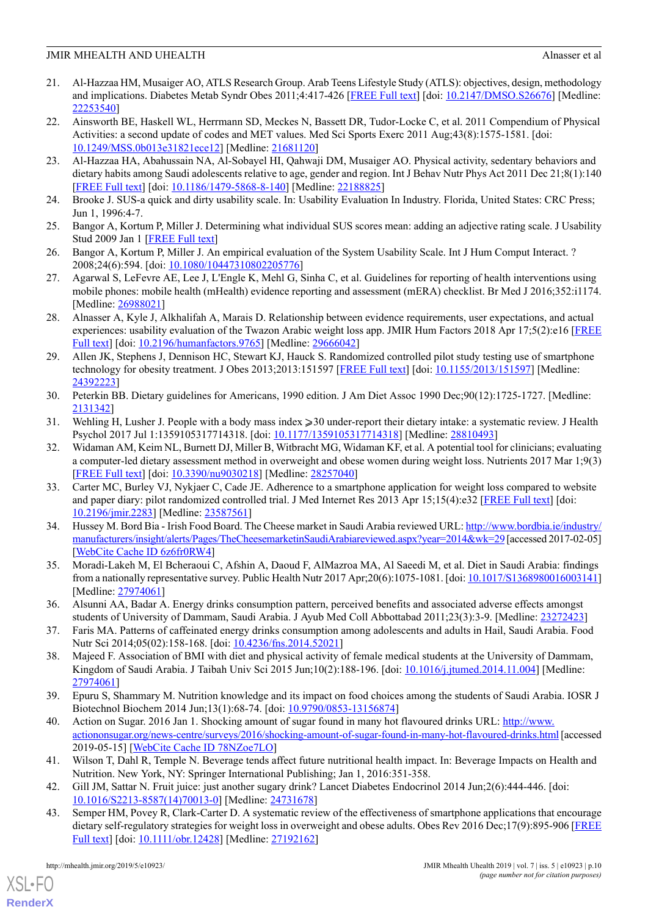- <span id="page-9-0"></span>21. Al-Hazzaa HM, Musaiger AO, ATLS Research Group. Arab Teens Lifestyle Study (ATLS): objectives, design, methodology and implications. Diabetes Metab Syndr Obes 2011;4:417-426 [\[FREE Full text](https://dx.doi.org/10.2147/DMSO.S26676)] [doi: [10.2147/DMSO.S26676\]](http://dx.doi.org/10.2147/DMSO.S26676) [Medline: [22253540](http://www.ncbi.nlm.nih.gov/entrez/query.fcgi?cmd=Retrieve&db=PubMed&list_uids=22253540&dopt=Abstract)]
- <span id="page-9-1"></span>22. Ainsworth BE, Haskell WL, Herrmann SD, Meckes N, Bassett DR, Tudor-Locke C, et al. 2011 Compendium of Physical Activities: a second update of codes and MET values. Med Sci Sports Exerc 2011 Aug;43(8):1575-1581. [doi: [10.1249/MSS.0b013e31821ece12](http://dx.doi.org/10.1249/MSS.0b013e31821ece12)] [Medline: [21681120](http://www.ncbi.nlm.nih.gov/entrez/query.fcgi?cmd=Retrieve&db=PubMed&list_uids=21681120&dopt=Abstract)]
- <span id="page-9-2"></span>23. Al-Hazzaa HA, Abahussain NA, Al-Sobayel HI, Qahwaji DM, Musaiger AO. Physical activity, sedentary behaviors and dietary habits among Saudi adolescents relative to age, gender and region. Int J Behav Nutr Phys Act 2011 Dec 21;8(1):140 [[FREE Full text](https://ijbnpa.biomedcentral.com/articles/10.1186/1479-5868-8-140)] [doi: [10.1186/1479-5868-8-140](http://dx.doi.org/10.1186/1479-5868-8-140)] [Medline: [22188825](http://www.ncbi.nlm.nih.gov/entrez/query.fcgi?cmd=Retrieve&db=PubMed&list_uids=22188825&dopt=Abstract)]
- <span id="page-9-4"></span><span id="page-9-3"></span>24. Brooke J. SUS-a quick and dirty usability scale. In: Usability Evaluation In Industry. Florida, United States: CRC Press; Jun 1, 1996:4-7.
- <span id="page-9-5"></span>25. Bangor A, Kortum P, Miller J. Determining what individual SUS scores mean: adding an adjective rating scale. J Usability Stud 2009 Jan 1 [\[FREE Full text\]](http://uxpajournal.org/en/determining-what-individual-sus-scores-mean-adding-an-adjective-rating-scale/)
- <span id="page-9-6"></span>26. Bangor A, Kortum P, Miller J. An empirical evaluation of the System Usability Scale. Int J Hum Comput Interact. ? 2008;24(6):594. [doi: [10.1080/10447310802205776](http://dx.doi.org/10.1080/10447310802205776)]
- <span id="page-9-7"></span>27. Agarwal S, LeFevre AE, Lee J, L'Engle K, Mehl G, Sinha C, et al. Guidelines for reporting of health interventions using mobile phones: mobile health (mHealth) evidence reporting and assessment (mERA) checklist. Br Med J 2016;352:i1174. [Medline: [26988021](http://www.ncbi.nlm.nih.gov/entrez/query.fcgi?cmd=Retrieve&db=PubMed&list_uids=26988021&dopt=Abstract)]
- <span id="page-9-8"></span>28. Alnasser A, Kyle J, Alkhalifah A, Marais D. Relationship between evidence requirements, user expectations, and actual experiences: usability evaluation of the Twazon Arabic weight loss app. JMIR Hum Factors 2018 Apr 17;5(2):e16 [\[FREE](http://humanfactors.jmir.org/2018/2/e16/) [Full text](http://humanfactors.jmir.org/2018/2/e16/)] [doi: [10.2196/humanfactors.9765](http://dx.doi.org/10.2196/humanfactors.9765)] [Medline: [29666042](http://www.ncbi.nlm.nih.gov/entrez/query.fcgi?cmd=Retrieve&db=PubMed&list_uids=29666042&dopt=Abstract)]
- <span id="page-9-9"></span>29. Allen JK, Stephens J, Dennison HC, Stewart KJ, Hauck S. Randomized controlled pilot study testing use of smartphone technology for obesity treatment. J Obes 2013;2013:151597 [\[FREE Full text\]](http://dx.doi.org/10.1155/2013/151597) [doi: [10.1155/2013/151597\]](http://dx.doi.org/10.1155/2013/151597) [Medline: [24392223](http://www.ncbi.nlm.nih.gov/entrez/query.fcgi?cmd=Retrieve&db=PubMed&list_uids=24392223&dopt=Abstract)]
- <span id="page-9-11"></span><span id="page-9-10"></span>30. Peterkin BB. Dietary guidelines for Americans, 1990 edition. J Am Diet Assoc 1990 Dec;90(12):1725-1727. [Medline: [2131342\]](http://www.ncbi.nlm.nih.gov/entrez/query.fcgi?cmd=Retrieve&db=PubMed&list_uids=2131342&dopt=Abstract)
- 31. Wehling H, Lusher J. People with a body mass index ≥30 under-report their dietary intake: a systematic review. J Health Psychol 2017 Jul 1:1359105317714318. [doi: [10.1177/1359105317714318](http://dx.doi.org/10.1177/1359105317714318)] [Medline: [28810493](http://www.ncbi.nlm.nih.gov/entrez/query.fcgi?cmd=Retrieve&db=PubMed&list_uids=28810493&dopt=Abstract)]
- <span id="page-9-12"></span>32. Widaman AM, Keim NL, Burnett DJ, Miller B, Witbracht MG, Widaman KF, et al. A potential tool for clinicians; evaluating a computer-led dietary assessment method in overweight and obese women during weight loss. Nutrients 2017 Mar 1;9(3) [[FREE Full text](http://www.mdpi.com/resolver?pii=nu9030218)] [doi: [10.3390/nu9030218\]](http://dx.doi.org/10.3390/nu9030218) [Medline: [28257040\]](http://www.ncbi.nlm.nih.gov/entrez/query.fcgi?cmd=Retrieve&db=PubMed&list_uids=28257040&dopt=Abstract)
- <span id="page-9-13"></span>33. Carter MC, Burley VJ, Nykjaer C, Cade JE. Adherence to a smartphone application for weight loss compared to website and paper diary: pilot randomized controlled trial. J Med Internet Res 2013 Apr 15;15(4):e32 [[FREE Full text](http://www.jmir.org/2013/4/e32/)] [doi: [10.2196/jmir.2283](http://dx.doi.org/10.2196/jmir.2283)] [Medline: [23587561](http://www.ncbi.nlm.nih.gov/entrez/query.fcgi?cmd=Retrieve&db=PubMed&list_uids=23587561&dopt=Abstract)]
- <span id="page-9-15"></span><span id="page-9-14"></span>34. Hussey M. Bord Bia - Irish Food Board. The Cheese market in Saudi Arabia reviewed URL: [http://www.bordbia.ie/industry/](http://www.bordbia.ie/industry/manufacturers/insight/alerts/Pages/TheCheesemarketinSaudiArabiareviewed.aspx?year=2014&wk=29) [manufacturers/insight/alerts/Pages/TheCheesemarketinSaudiArabiareviewed.aspx?year=2014&wk=29](http://www.bordbia.ie/industry/manufacturers/insight/alerts/Pages/TheCheesemarketinSaudiArabiareviewed.aspx?year=2014&wk=29) [accessed 2017-02-05] [[WebCite Cache ID 6z6fr0RW4](http://www.webcitation.org/6z6fr0RW4)]
- 35. Moradi-Lakeh M, El Bcheraoui C, Afshin A, Daoud F, AlMazroa MA, Al Saeedi M, et al. Diet in Saudi Arabia: findings from a nationally representative survey. Public Health Nutr 2017 Apr;20(6):1075-1081. [doi: [10.1017/S1368980016003141\]](http://dx.doi.org/10.1017/S1368980016003141) [Medline: [27974061](http://www.ncbi.nlm.nih.gov/entrez/query.fcgi?cmd=Retrieve&db=PubMed&list_uids=27974061&dopt=Abstract)]
- <span id="page-9-16"></span>36. Alsunni AA, Badar A. Energy drinks consumption pattern, perceived benefits and associated adverse effects amongst students of University of Dammam, Saudi Arabia. J Ayub Med Coll Abbottabad 2011;23(3):3-9. [Medline: [23272423\]](http://www.ncbi.nlm.nih.gov/entrez/query.fcgi?cmd=Retrieve&db=PubMed&list_uids=23272423&dopt=Abstract)
- <span id="page-9-17"></span>37. Faris MA. Patterns of caffeinated energy drinks consumption among adolescents and adults in Hail, Saudi Arabia. Food Nutr Sci 2014;05(02):158-168. [doi: [10.4236/fns.2014.52021\]](http://dx.doi.org/10.4236/fns.2014.52021)
- <span id="page-9-18"></span>38. Majeed F. Association of BMI with diet and physical activity of female medical students at the University of Dammam, Kingdom of Saudi Arabia. J Taibah Univ Sci 2015 Jun;10(2):188-196. [doi: [10.1016/j.jtumed.2014.11.004](http://dx.doi.org/10.1016/j.jtumed.2014.11.004)] [Medline: [27974061](http://www.ncbi.nlm.nih.gov/entrez/query.fcgi?cmd=Retrieve&db=PubMed&list_uids=27974061&dopt=Abstract)]
- 39. Epuru S, Shammary M. Nutrition knowledge and its impact on food choices among the students of Saudi Arabia. IOSR J Biotechnol Biochem 2014 Jun;13(1):68-74. [doi: [10.9790/0853-13156874](http://dx.doi.org/10.9790/0853-13156874)]
- <span id="page-9-20"></span><span id="page-9-19"></span>40. Action on Sugar. 2016 Jan 1. Shocking amount of sugar found in many hot flavoured drinks URL: [http://www.](http://www.actiononsugar.org/news-centre/surveys/2016/shocking-amount-of-sugar-found-in-many-hot-flavoured-drinks.html) [actiononsugar.org/news-centre/surveys/2016/shocking-amount-of-sugar-found-in-many-hot-flavoured-drinks.html](http://www.actiononsugar.org/news-centre/surveys/2016/shocking-amount-of-sugar-found-in-many-hot-flavoured-drinks.html) [accessed 2019-05-15] [\[WebCite Cache ID 78NZoe7LO](http://www.webcitation.org/78NZoe7LO)]
- 41. Wilson T, Dahl R, Temple N. Beverage tends affect future nutritional health impact. In: Beverage Impacts on Health and Nutrition. New York, NY: Springer International Publishing; Jan 1, 2016:351-358.
- 42. Gill JM, Sattar N. Fruit juice: just another sugary drink? Lancet Diabetes Endocrinol 2014 Jun;2(6):444-446. [doi: [10.1016/S2213-8587\(14\)70013-0\]](http://dx.doi.org/10.1016/S2213-8587(14)70013-0) [Medline: [24731678](http://www.ncbi.nlm.nih.gov/entrez/query.fcgi?cmd=Retrieve&db=PubMed&list_uids=24731678&dopt=Abstract)]
- 43. Semper HM, Povey R, Clark-Carter D. A systematic review of the effectiveness of smartphone applications that encourage dietary self-regulatory strategies for weight loss in overweight and obese adults. Obes Rev 2016 Dec;17(9):895-906 [\[FREE](http://www.jmir.org/2015/11/e253/) [Full text](http://www.jmir.org/2015/11/e253/)] [doi: [10.1111/obr.12428\]](http://dx.doi.org/10.1111/obr.12428) [Medline: [27192162](http://www.ncbi.nlm.nih.gov/entrez/query.fcgi?cmd=Retrieve&db=PubMed&list_uids=27192162&dopt=Abstract)]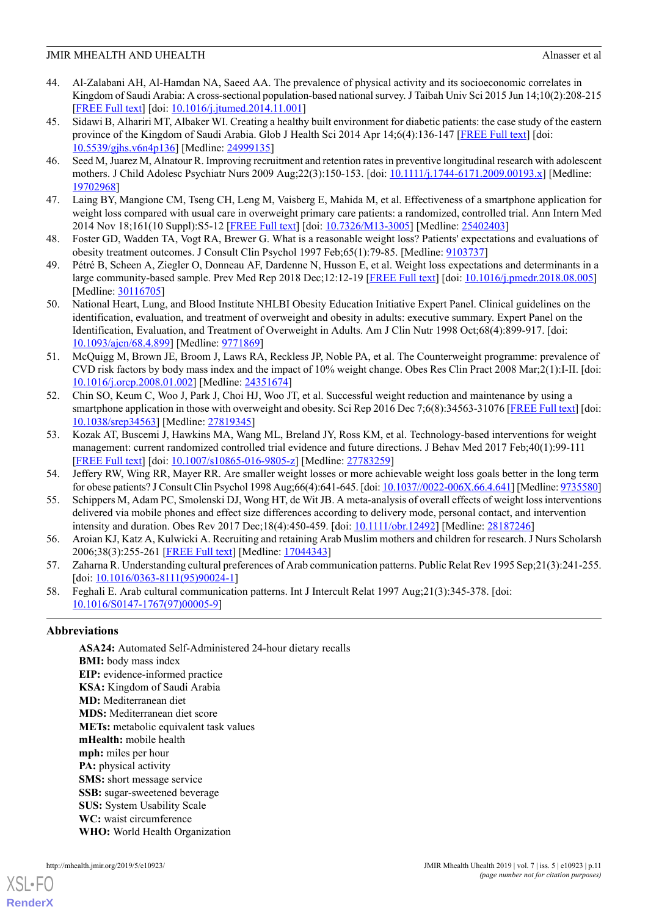- <span id="page-10-0"></span>44. Al-Zalabani AH, Al-Hamdan NA, Saeed AA. The prevalence of physical activity and its socioeconomic correlates in Kingdom of Saudi Arabia: A cross-sectional population-based national survey. J Taibah Univ Sci 2015 Jun 14;10(2):208-215 [[FREE Full text](https://dx.doi.org/10.5539/gjhs.v6n4p136)] [doi: [10.1016/j.jtumed.2014.11.001\]](http://dx.doi.org/10.1016/j.jtumed.2014.11.001)
- <span id="page-10-1"></span>45. Sidawi B, Alhariri MT, Albaker WI. Creating a healthy built environment for diabetic patients: the case study of the eastern province of the Kingdom of Saudi Arabia. Glob J Health Sci 2014 Apr 14;6(4):136-147 [\[FREE Full text\]](https://dx.doi.org/10.5539/gjhs.v6n4p136) [doi: [10.5539/gjhs.v6n4p136\]](http://dx.doi.org/10.5539/gjhs.v6n4p136) [Medline: [24999135\]](http://www.ncbi.nlm.nih.gov/entrez/query.fcgi?cmd=Retrieve&db=PubMed&list_uids=24999135&dopt=Abstract)
- <span id="page-10-3"></span><span id="page-10-2"></span>46. Seed M, Juarez M, Alnatour R. Improving recruitment and retention rates in preventive longitudinal research with adolescent mothers. J Child Adolesc Psychiatr Nurs 2009 Aug;22(3):150-153. [doi: [10.1111/j.1744-6171.2009.00193.x](http://dx.doi.org/10.1111/j.1744-6171.2009.00193.x)] [Medline: [19702968](http://www.ncbi.nlm.nih.gov/entrez/query.fcgi?cmd=Retrieve&db=PubMed&list_uids=19702968&dopt=Abstract)]
- <span id="page-10-4"></span>47. Laing BY, Mangione CM, Tseng CH, Leng M, Vaisberg E, Mahida M, et al. Effectiveness of a smartphone application for weight loss compared with usual care in overweight primary care patients: a randomized, controlled trial. Ann Intern Med 2014 Nov 18;161(10 Suppl):S5-12 [[FREE Full text\]](http://europepmc.org/abstract/MED/25402403) [doi: [10.7326/M13-3005\]](http://dx.doi.org/10.7326/M13-3005) [Medline: [25402403](http://www.ncbi.nlm.nih.gov/entrez/query.fcgi?cmd=Retrieve&db=PubMed&list_uids=25402403&dopt=Abstract)]
- <span id="page-10-5"></span>48. Foster GD, Wadden TA, Vogt RA, Brewer G. What is a reasonable weight loss? Patients' expectations and evaluations of obesity treatment outcomes. J Consult Clin Psychol 1997 Feb;65(1):79-85. [Medline: [9103737](http://www.ncbi.nlm.nih.gov/entrez/query.fcgi?cmd=Retrieve&db=PubMed&list_uids=9103737&dopt=Abstract)]
- <span id="page-10-6"></span>49. Pétré B, Scheen A, Ziegler O, Donneau AF, Dardenne N, Husson E, et al. Weight loss expectations and determinants in a large community-based sample. Prev Med Rep 2018 Dec;12:12-19 [[FREE Full text](https://linkinghub.elsevier.com/retrieve/pii/S2211-3355(18)30132-3)] [doi: [10.1016/j.pmedr.2018.08.005](http://dx.doi.org/10.1016/j.pmedr.2018.08.005)] [Medline: [30116705](http://www.ncbi.nlm.nih.gov/entrez/query.fcgi?cmd=Retrieve&db=PubMed&list_uids=30116705&dopt=Abstract)]
- <span id="page-10-7"></span>50. National Heart, Lung, and Blood Institute NHLBI Obesity Education Initiative Expert Panel. Clinical guidelines on the identification, evaluation, and treatment of overweight and obesity in adults: executive summary. Expert Panel on the Identification, Evaluation, and Treatment of Overweight in Adults. Am J Clin Nutr 1998 Oct;68(4):899-917. [doi: [10.1093/ajcn/68.4.899](http://dx.doi.org/10.1093/ajcn/68.4.899)] [Medline: [9771869\]](http://www.ncbi.nlm.nih.gov/entrez/query.fcgi?cmd=Retrieve&db=PubMed&list_uids=9771869&dopt=Abstract)
- <span id="page-10-8"></span>51. McQuigg M, Brown JE, Broom J, Laws RA, Reckless JP, Noble PA, et al. The Counterweight programme: prevalence of CVD risk factors by body mass index and the impact of 10% weight change. Obes Res Clin Pract 2008 Mar;2(1):I-II. [doi: [10.1016/j.orcp.2008.01.002](http://dx.doi.org/10.1016/j.orcp.2008.01.002)] [Medline: [24351674](http://www.ncbi.nlm.nih.gov/entrez/query.fcgi?cmd=Retrieve&db=PubMed&list_uids=24351674&dopt=Abstract)]
- <span id="page-10-9"></span>52. Chin SO, Keum C, Woo J, Park J, Choi HJ, Woo JT, et al. Successful weight reduction and maintenance by using a smartphone application in those with overweight and obesity. Sci Rep 2016 Dec 7;6(8):34563-31076 [\[FREE Full text\]](http://dx.doi.org/10.1038/srep34563) [doi: [10.1038/srep34563](http://dx.doi.org/10.1038/srep34563)] [Medline: [27819345](http://www.ncbi.nlm.nih.gov/entrez/query.fcgi?cmd=Retrieve&db=PubMed&list_uids=27819345&dopt=Abstract)]
- <span id="page-10-11"></span><span id="page-10-10"></span>53. Kozak AT, Buscemi J, Hawkins MA, Wang ML, Breland JY, Ross KM, et al. Technology-based interventions for weight management: current randomized controlled trial evidence and future directions. J Behav Med 2017 Feb;40(1):99-111 [[FREE Full text](http://europepmc.org/abstract/MED/27783259)] [doi: [10.1007/s10865-016-9805-z](http://dx.doi.org/10.1007/s10865-016-9805-z)] [Medline: [27783259\]](http://www.ncbi.nlm.nih.gov/entrez/query.fcgi?cmd=Retrieve&db=PubMed&list_uids=27783259&dopt=Abstract)
- <span id="page-10-12"></span>54. Jeffery RW, Wing RR, Mayer RR. Are smaller weight losses or more achievable weight loss goals better in the long term for obese patients? J Consult Clin Psychol 1998 Aug;66(4):641-645. [doi: [10.1037//0022-006X.66.4.641\]](http://dx.doi.org/10.1037//0022-006X.66.4.641) [Medline: [9735580](http://www.ncbi.nlm.nih.gov/entrez/query.fcgi?cmd=Retrieve&db=PubMed&list_uids=9735580&dopt=Abstract)]
- <span id="page-10-13"></span>55. Schippers M, Adam PC, Smolenski DJ, Wong HT, de Wit JB. A meta-analysis of overall effects of weight loss interventions delivered via mobile phones and effect size differences according to delivery mode, personal contact, and intervention intensity and duration. Obes Rev 2017 Dec;18(4):450-459. [doi: [10.1111/obr.12492](http://dx.doi.org/10.1111/obr.12492)] [Medline: [28187246\]](http://www.ncbi.nlm.nih.gov/entrez/query.fcgi?cmd=Retrieve&db=PubMed&list_uids=28187246&dopt=Abstract)
- <span id="page-10-14"></span>56. Aroian KJ, Katz A, Kulwicki A. Recruiting and retaining Arab Muslim mothers and children for research. J Nurs Scholarsh 2006;38(3):255-261 [[FREE Full text](http://europepmc.org/abstract/MED/17044343)] [Medline: [17044343](http://www.ncbi.nlm.nih.gov/entrez/query.fcgi?cmd=Retrieve&db=PubMed&list_uids=17044343&dopt=Abstract)]
- 57. Zaharna R. Understanding cultural preferences of Arab communication patterns. Public Relat Rev 1995 Sep;21(3):241-255. [doi: [10.1016/0363-8111\(95\)90024-1\]](http://dx.doi.org/10.1016/0363-8111(95)90024-1)
- 58. Feghali E. Arab cultural communication patterns. Int J Intercult Relat 1997 Aug;21(3):345-378. [doi: [10.1016/S0147-1767\(97\)00005-9\]](http://dx.doi.org/10.1016/S0147-1767(97)00005-9)

# **Abbreviations**

**ASA24:** Automated Self-Administered 24-hour dietary recalls **BMI:** body mass index **EIP:** evidence-informed practice **KSA:** Kingdom of Saudi Arabia **MD:** Mediterranean diet **MDS:** Mediterranean diet score **METs:** metabolic equivalent task values **mHealth:** mobile health **mph:** miles per hour **PA:** physical activity **SMS:** short message service **SSB:** sugar-sweetened beverage **SUS:** System Usability Scale **WC:** waist circumference **WHO:** World Health Organization